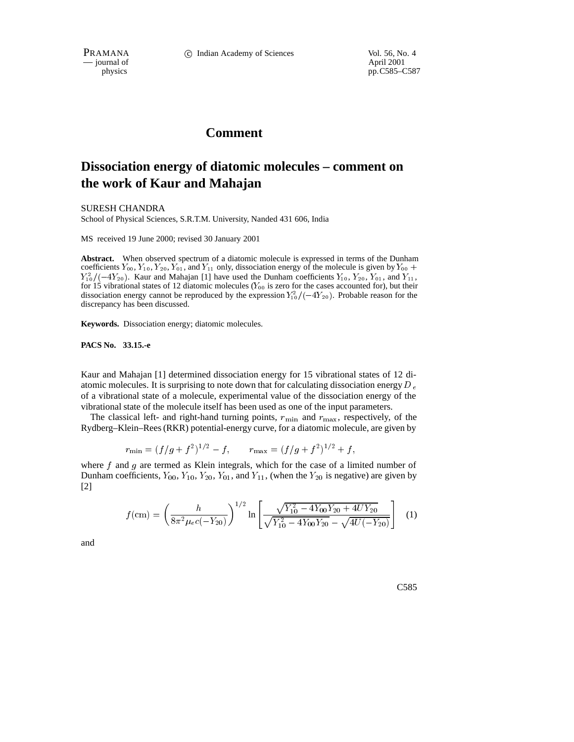PRAMANA 
<sup>c</sup> Indian Academy of Sciences Vol. 56, No. 4<br>
- journal of April 2001 — journal of<br>physics

pp.C585–C587

## **Comment**

## **Dissociation energy of diatomic molecules – comment on the work of Kaur and Mahajan**

SURESH CHANDRA

School of Physical Sciences, S.R.T.M. University, Nanded 431 606, India

MS received 19 June 2000; revised 30 January 2001

**Abstract.** When observed spectrum of a diatomic molecule is expressed in terms of the Dunham coefficients  $Y_{00}$ ,  $Y_{10}$ ,  $Y_{20}$ ,  $Y_{01}$ , and  $Y_{11}$  only, dissociation energy of the molecule is given by  $Y_{00}$  +  $Y_{10}^2/(-4Y_{20})$ . Kaur and Mahajan [1] have used the Dunham coefficients  $Y_{10}$ ,  $Y_{20}$ ,  $Y_{01}$ , and  $Y_{11}$ , for 15 vibrational states of 12 diatomic molecules ( $Y_{00}$  is zero for the cases accounted for), but their dissociation energy cannot be reproduced by the expression  $Y_1^2/(-4Y_{20})$ . Probable reason for the discrepancy has been discussed.

**Keywords.** Dissociation energy; diatomic molecules.

**PACS No. 33.15.-e**

Kaur and Mahajan [1] determined dissociation energy for 15 vibrational states of 12 diatomic molecules. It is surprising to note down that for calculating dissociation energy  $D_e$ of a vibrational state of a molecule, experimental value of the dissociation energy of the vibrational state of the molecule itself has been used as one of the input parameters.

The classical left- and right-hand turning points,  $r_{\min}$  and  $r_{\max}$ , respectively, of the Rydberg–Klein–Rees (RKR) potential-energy curve, for a diatomic molecule, are given by

$$
r_{\min} = (f/g + f^2)^{1/2} - f, \qquad r_{\max} = (f/g + f^2)^{1/2} + f,
$$

where  $f$  and  $g$  are termed as Klein integrals, which for the case of a limited number of Dunham coefficients,  $Y_{00}$ ,  $Y_{10}$ ,  $Y_{20}$ ,  $Y_{01}$ , and  $Y_{11}$ , (when the  $Y_{20}$  is negative) are given by [2]

$$
f(c\mathbf{m}) = \left(\frac{h}{8\pi^2\mu_e c(-Y_{20})}\right)^{1/2} \ln\left[\frac{\sqrt{Y_{10}^2 - 4Y_{00}Y_{20} + 4UY_{20}}}{\sqrt{Y_{10}^2 - 4Y_{00}Y_{20}} - \sqrt{4U(-Y_{20})}}\right] \tag{1}
$$

and

C585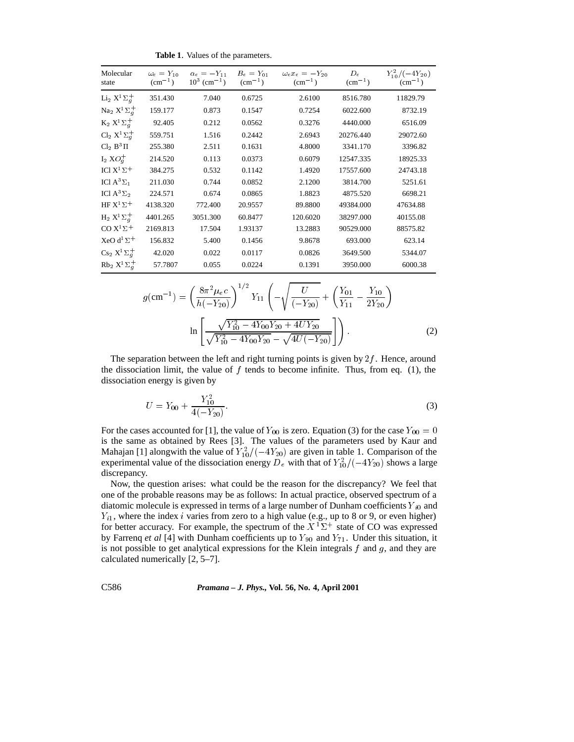**Table 1**. Values of the parameters.

| Molecular<br>state                       | $\omega_e = Y_{10}$<br>$\rm (cm^{-1})$ | $\alpha_e = -Y_{11}$<br>$10^3$ (cm <sup>-1</sup> ) | $B_e = Y_{01}$<br>$\rm (cm^{-1})$ | $\omega_e x_e = -Y_{20}$<br>$\rm (cm^{-1})$ | $D_e$<br>$\rm (cm^{-1})$ | $Y_{10}^2/(-4Y_{20})$<br>$\rm (cm^{-1})$ |
|------------------------------------------|----------------------------------------|----------------------------------------------------|-----------------------------------|---------------------------------------------|--------------------------|------------------------------------------|
| Li <sub>2</sub> $X^1\Sigma_q^+$          | 351.430                                | 7.040                                              | 0.6725                            | 2.6100                                      | 8516.780                 | 11829.79                                 |
| Na <sub>2</sub> $X^1\Sigma_q^+$          | 159.177                                | 0.873                                              | 0.1547                            | 0.7254                                      | 6022.600                 | 8732.19                                  |
| $K_2 X^1 \Sigma_q^+$                     | 92.405                                 | 0.212                                              | 0.0562                            | 0.3276                                      | 4440.000                 | 6516.09                                  |
| Cl <sub>2</sub> $X^1\Sigma_q^+$          | 559.751                                | 1.516                                              | 0.2442                            | 2.6943                                      | 20276.440                | 29072.60                                 |
| $Cl2 B3 \Pi$                             | 255.380                                | 2.511                                              | 0.1631                            | 4.8000                                      | 3341.170                 | 3396.82                                  |
| $I_2$ $XO_q^+$                           | 214.520                                | 0.113                                              | 0.0373                            | 0.6079                                      | 12547.335                | 18925.33                                 |
| ICI $X^1\Sigma^+$                        | 384.275                                | 0.532                                              | 0.1142                            | 1.4920                                      | 17557.600                | 24743.18                                 |
| ICI $A^3\Sigma_1$                        | 211.030                                | 0.744                                              | 0.0852                            | 2.1200                                      | 3814.700                 | 5251.61                                  |
| ICI A <sup>3</sup> $\Sigma$ <sub>2</sub> | 224.571                                | 0.674                                              | 0.0865                            | 1.8823                                      | 4875.520                 | 6698.21                                  |
| HF $X^1\Sigma^+$                         | 4138.320                               | 772.400                                            | 20.9557                           | 89.8800                                     | 49384.000                | 47634.88                                 |
| $H_2 X^1 \Sigma_a^+$                     | 4401.265                               | 3051.300                                           | 60.8477                           | 120.6020                                    | 38297.000                | 40155.08                                 |
| CO $X^1\Sigma^+$                         | 2169.813                               | 17.504                                             | 1.93137                           | 13.2883                                     | 90529.000                | 88575.82                                 |
| XeO d <sup>1</sup> $\Sigma$ <sup>+</sup> | 156.832                                | 5.400                                              | 0.1456                            | 9.8678                                      | 693.000                  | 623.14                                   |
| Cs <sub>2</sub> $X^1\Sigma_q^+$          | 42.020                                 | 0.022                                              | 0.0117                            | 0.0826                                      | 3649.500                 | 5344.07                                  |
| $Rb_2 X^1\Sigma_a^+$                     | 57.7807                                | 0.055                                              | 0.0224                            | 0.1391                                      | 3950.000                 | 6000.38                                  |
|                                          |                                        |                                                    |                                   |                                             |                          |                                          |

$$
g(\text{cm}^{-1}) = \left(\frac{8\pi^2\mu_e c}{h(-Y_{20})}\right)^{1/2} Y_{11} \left(-\sqrt{\frac{U}{(-Y_{20})}} + \left(\frac{Y_{01}}{Y_{11}} - \frac{Y_{10}}{2Y_{20}}\right)\right)
$$

$$
\ln\left[\frac{\sqrt{Y_{10}^2 - 4Y_{00}Y_{20} + 4UY_{20}}}{\sqrt{Y_{10}^2 - 4Y_{00}Y_{20}} - \sqrt{4U(-Y_{20})}}\right]\right).
$$
(2)

The separation between the left and right turning points is given by  $2f$ . Hence, around the dissociation limit, the value of  $f$  tends to become infinite. Thus, from eq. (1), the dissociation energy is given by

$$
U = Y_{00} + \frac{Y_{10}^2}{4(-Y_{20})}.\tag{3}
$$

For the cases accounted for [1], the value of  $Y_{00}$  is zero. Equation (3) for the case  $Y_{00} = 0$ is the same as obtained by Rees [3]. The values of the parameters used by Kaur and Mahajan [1] alongwith the value of  $Y_{10}^2/(-4Y_{20})$  are given in table 1. Comparison of the experimental value of the dissociation energy D<sub>e</sub> with that of  $Y_{10}^2/(-4Y_{20})$  shows a large discrepancy.

Now, the question arises: what could be the reason for the discrepancy? We feel that one of the probable reasons may be as follows: In actual practice, observed spectrum of a diatomic molecule is expressed in terms of a large number of Dunham coefficients  $Y_{i0}$  and  $Y_{i1}$ , where the index *i* varies from zero to a high value (e.g., up to 8 or 9, or even higher) for better accuracy. For example, the spectrum of the  $X<sup>1</sup>\Sigma^{+}$  state of CO was expressed by Farrenq *et al* [4] with Dunham coefficients up to  $Y_{90}$  and  $Y_{71}$ . Under this situation, it is not possible to get analytical expressions for the Klein integrals  $f$  and  $g$ , and they are calculated numerically [2, 5–7].

C586 *Pramana – J. Phys.,* **Vol. 56, No. 4, April 2001**